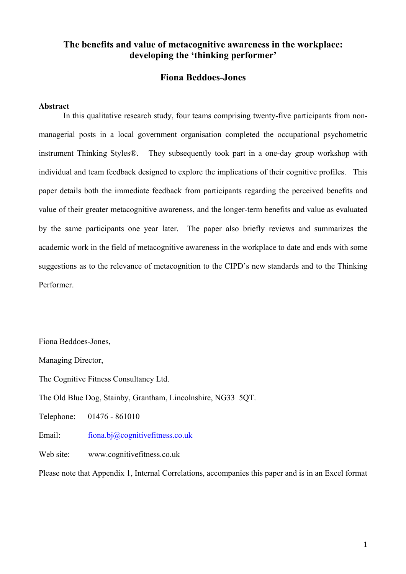# **The benefits and value of metacognitive awareness in the workplace: developing the 'thinking performer'**

# **Fiona Beddoes-Jones**

#### **Abstract**

In this qualitative research study, four teams comprising twenty-five participants from nonmanagerial posts in a local government organisation completed the occupational psychometric instrument Thinking Styles®. They subsequently took part in a one-day group workshop with individual and team feedback designed to explore the implications of their cognitive profiles. This paper details both the immediate feedback from participants regarding the perceived benefits and value of their greater metacognitive awareness, and the longer-term benefits and value as evaluated by the same participants one year later. The paper also briefly reviews and summarizes the academic work in the field of metacognitive awareness in the workplace to date and ends with some suggestions as to the relevance of metacognition to the CIPD's new standards and to the Thinking Performer.

Fiona Beddoes-Jones,

Managing Director,

The Cognitive Fitness Consultancy Ltd.

The Old Blue Dog, Stainby, Grantham, Lincolnshire, NG33 5QT.

Telephone: 01476 - 861010

Email: [fiona.bj@cognitivefitness.co.uk](mailto:fiona.bj@thinkingstyles.co.uk)

Web site: www.cognitivefitness.co.uk

Please note that Appendix 1, Internal Correlations, accompanies this paper and is in an Excel format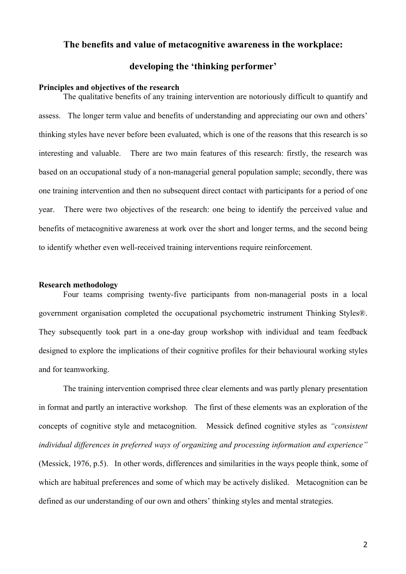### **The benefits and value of metacognitive awareness in the workplace:**

# **developing the 'thinking performer'**

#### **Principles and objectives of the research**

The qualitative benefits of any training intervention are notoriously difficult to quantify and assess. The longer term value and benefits of understanding and appreciating our own and others' thinking styles have never before been evaluated, which is one of the reasons that this research is so interesting and valuable. There are two main features of this research: firstly, the research was based on an occupational study of a non-managerial general population sample; secondly, there was one training intervention and then no subsequent direct contact with participants for a period of one year. There were two objectives of the research: one being to identify the perceived value and benefits of metacognitive awareness at work over the short and longer terms, and the second being to identify whether even well-received training interventions require reinforcement.

#### **Research methodology**

Four teams comprising twenty-five participants from non-managerial posts in a local government organisation completed the occupational psychometric instrument Thinking Styles®. They subsequently took part in a one-day group workshop with individual and team feedback designed to explore the implications of their cognitive profiles for their behavioural working styles and for teamworking.

The training intervention comprised three clear elements and was partly plenary presentation in format and partly an interactive workshop. The first of these elements was an exploration of the concepts of cognitive style and metacognition. Messick defined cognitive styles as *"consistent individual differences in preferred ways of organizing and processing information and experience"* (Messick, 1976, p.5). In other words, differences and similarities in the ways people think, some of which are habitual preferences and some of which may be actively disliked. Metacognition can be defined as our understanding of our own and others' thinking styles and mental strategies.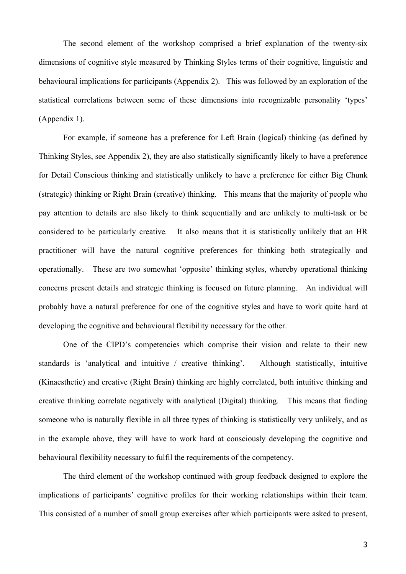The second element of the workshop comprised a brief explanation of the twenty-six dimensions of cognitive style measured by Thinking Styles terms of their cognitive, linguistic and behavioural implications for participants (Appendix 2). This was followed by an exploration of the statistical correlations between some of these dimensions into recognizable personality 'types' (Appendix 1).

For example, if someone has a preference for Left Brain (logical) thinking (as defined by Thinking Styles, see Appendix 2), they are also statistically significantly likely to have a preference for Detail Conscious thinking and statistically unlikely to have a preference for either Big Chunk (strategic) thinking or Right Brain (creative) thinking. This means that the majority of people who pay attention to details are also likely to think sequentially and are unlikely to multi-task or be considered to be particularly creative*.* It also means that it is statistically unlikely that an HR practitioner will have the natural cognitive preferences for thinking both strategically and operationally. These are two somewhat 'opposite' thinking styles, whereby operational thinking concerns present details and strategic thinking is focused on future planning. An individual will probably have a natural preference for one of the cognitive styles and have to work quite hard at developing the cognitive and behavioural flexibility necessary for the other.

One of the CIPD's competencies which comprise their vision and relate to their new standards is 'analytical and intuitive / creative thinking'. Although statistically, intuitive (Kinaesthetic) and creative (Right Brain) thinking are highly correlated, both intuitive thinking and creative thinking correlate negatively with analytical (Digital) thinking. This means that finding someone who is naturally flexible in all three types of thinking is statistically very unlikely, and as in the example above, they will have to work hard at consciously developing the cognitive and behavioural flexibility necessary to fulfil the requirements of the competency.

The third element of the workshop continued with group feedback designed to explore the implications of participants' cognitive profiles for their working relationships within their team. This consisted of a number of small group exercises after which participants were asked to present,

3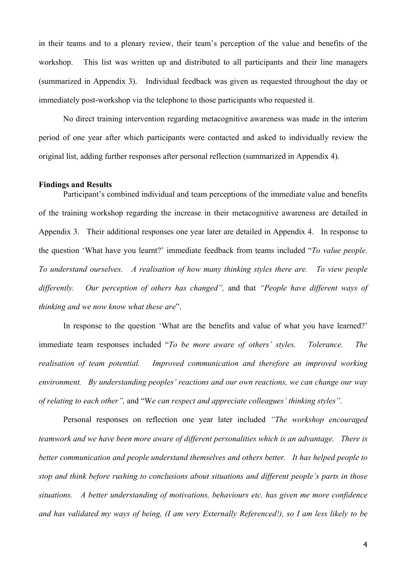in their teams and to a plenary review, their team's perception of the value and benefits of the workshop. This list was written up and distributed to all participants and their line managers (summarized in Appendix 3). Individual feedback was given as requested throughout the day or immediately post-workshop via the telephone to those participants who requested it.

No direct training intervention regarding metacognitive awareness was made in the interim period of one year after which participants were contacted and asked to individually review the original list, adding further responses after personal reflection (summarized in Appendix 4).

#### **Findings and Results**

Participant's combined individual and team perceptions of the immediate value and benefits of the training workshop regarding the increase in their metacognitive awareness are detailed in Appendix 3. Their additional responses one year later are detailed in Appendix 4. In response to the question 'What have you learnt?' immediate feedback from teams included "*To value people. To understand ourselves. A realisation of how many thinking styles there are. To view people differently. Our perception of others has changed",* and that *"People have different ways of thinking and we now know what these are*".

In response to the question 'What are the benefits and value of what you have learned?' immediate team responses included "*To be more aware of others' styles. Tolerance. The realisation of team potential. Improved communication and therefore an improved working environment. By understanding peoples' reactions and our own reactions, we can change our way of relating to each other",* and "W*e can respect and appreciate colleagues' thinking styles".*

Personal responses on reflection one year later included *"The workshop encouraged teamwork and we have been more aware of different personalities which is an advantage. There is better communication and people understand themselves and others better. It has helped people to stop and think before rushing to conclusions about situations and different people's parts in those situations. A better understanding of motivations, behaviours etc. has given me more confidence and has validated my ways of being, (I am very Externally Referenced!), so I am less likely to be*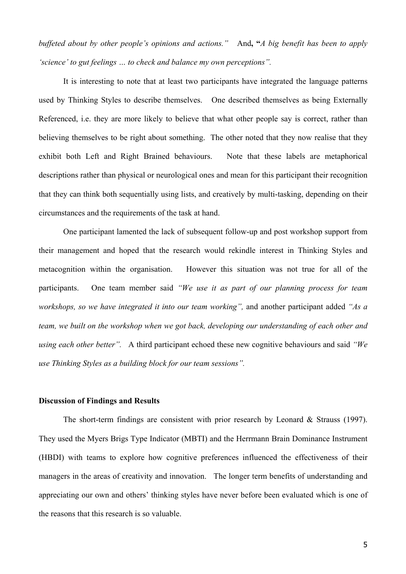*buffeted about by other people's opinions and actions."* And**, "***A big benefit has been to apply 'science' to gut feelings … to check and balance my own perceptions".* 

It is interesting to note that at least two participants have integrated the language patterns used by Thinking Styles to describe themselves. One described themselves as being Externally Referenced, i.e. they are more likely to believe that what other people say is correct, rather than believing themselves to be right about something. The other noted that they now realise that they exhibit both Left and Right Brained behaviours. Note that these labels are metaphorical descriptions rather than physical or neurological ones and mean for this participant their recognition that they can think both sequentially using lists, and creatively by multi-tasking, depending on their circumstances and the requirements of the task at hand.

One participant lamented the lack of subsequent follow-up and post workshop support from their management and hoped that the research would rekindle interest in Thinking Styles and metacognition within the organisation. However this situation was not true for all of the participants. One team member said *"We use it as part of our planning process for team workshops, so we have integrated it into our team working",* and another participant added *"As a team, we built on the workshop when we got back, developing our understanding of each other and using each other better".* A third participant echoed these new cognitive behaviours and said *"We use Thinking Styles as a building block for our team sessions".* 

#### **Discussion of Findings and Results**

The short-term findings are consistent with prior research by Leonard & Strauss (1997). They used the Myers Brigs Type Indicator (MBTI) and the Herrmann Brain Dominance Instrument (HBDI) with teams to explore how cognitive preferences influenced the effectiveness of their managers in the areas of creativity and innovation. The longer term benefits of understanding and appreciating our own and others' thinking styles have never before been evaluated which is one of the reasons that this research is so valuable.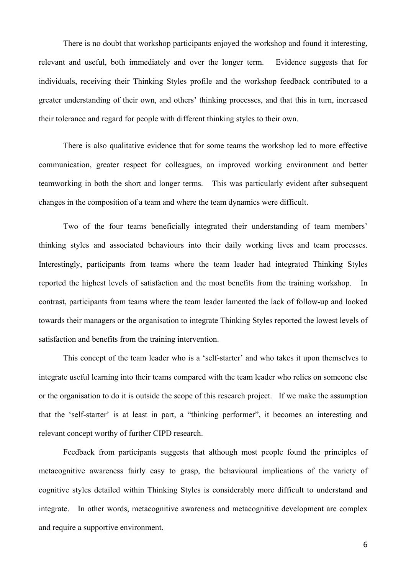There is no doubt that workshop participants enjoyed the workshop and found it interesting, relevant and useful, both immediately and over the longer term. Evidence suggests that for individuals, receiving their Thinking Styles profile and the workshop feedback contributed to a greater understanding of their own, and others' thinking processes, and that this in turn, increased their tolerance and regard for people with different thinking styles to their own.

There is also qualitative evidence that for some teams the workshop led to more effective communication, greater respect for colleagues, an improved working environment and better teamworking in both the short and longer terms. This was particularly evident after subsequent changes in the composition of a team and where the team dynamics were difficult.

Two of the four teams beneficially integrated their understanding of team members' thinking styles and associated behaviours into their daily working lives and team processes. Interestingly, participants from teams where the team leader had integrated Thinking Styles reported the highest levels of satisfaction and the most benefits from the training workshop. In contrast, participants from teams where the team leader lamented the lack of follow-up and looked towards their managers or the organisation to integrate Thinking Styles reported the lowest levels of satisfaction and benefits from the training intervention.

This concept of the team leader who is a 'self-starter' and who takes it upon themselves to integrate useful learning into their teams compared with the team leader who relies on someone else or the organisation to do it is outside the scope of this research project. If we make the assumption that the 'self-starter' is at least in part, a "thinking performer", it becomes an interesting and relevant concept worthy of further CIPD research.

Feedback from participants suggests that although most people found the principles of metacognitive awareness fairly easy to grasp, the behavioural implications of the variety of cognitive styles detailed within Thinking Styles is considerably more difficult to understand and integrate. In other words, metacognitive awareness and metacognitive development are complex and require a supportive environment.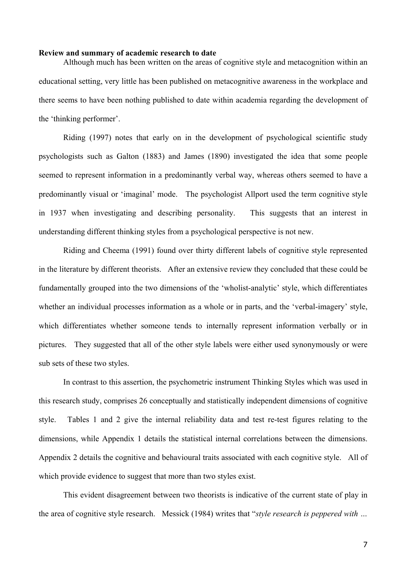#### **Review and summary of academic research to date**

Although much has been written on the areas of cognitive style and metacognition within an educational setting, very little has been published on metacognitive awareness in the workplace and there seems to have been nothing published to date within academia regarding the development of the 'thinking performer'.

 Riding (1997) notes that early on in the development of psychological scientific study psychologists such as Galton (1883) and James (1890) investigated the idea that some people seemed to represent information in a predominantly verbal way, whereas others seemed to have a predominantly visual or 'imaginal' mode. The psychologist Allport used the term cognitive style in 1937 when investigating and describing personality. This suggests that an interest in understanding different thinking styles from a psychological perspective is not new.

Riding and Cheema (1991) found over thirty different labels of cognitive style represented in the literature by different theorists. After an extensive review they concluded that these could be fundamentally grouped into the two dimensions of the 'wholist-analytic' style, which differentiates whether an individual processes information as a whole or in parts, and the 'verbal-imagery' style, which differentiates whether someone tends to internally represent information verbally or in pictures. They suggested that all of the other style labels were either used synonymously or were sub sets of these two styles.

In contrast to this assertion, the psychometric instrument Thinking Styles which was used in this research study, comprises 26 conceptually and statistically independent dimensions of cognitive style. Tables 1 and 2 give the internal reliability data and test re-test figures relating to the dimensions, while Appendix 1 details the statistical internal correlations between the dimensions. Appendix 2 details the cognitive and behavioural traits associated with each cognitive style. All of which provide evidence to suggest that more than two styles exist.

This evident disagreement between two theorists is indicative of the current state of play in the area of cognitive style research. Messick (1984) writes that "*style research is peppered with …*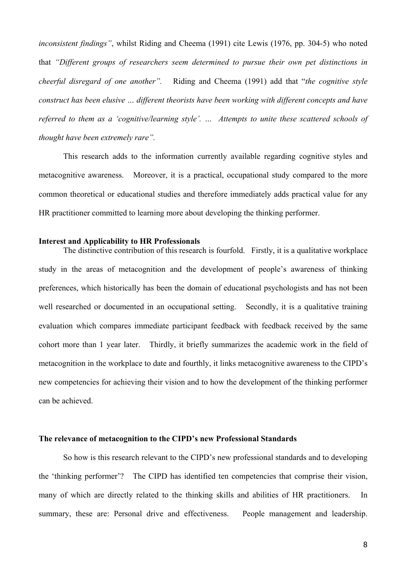*inconsistent findings"*, whilst Riding and Cheema (1991) cite Lewis (1976, pp. 304-5) who noted that *"Different groups of researchers seem determined to pursue their own pet distinctions in cheerful disregard of one another".* Riding and Cheema (1991) add that "*the cognitive style construct has been elusive … different theorists have been working with different concepts and have referred to them as a 'cognitive/learning style'. … Attempts to unite these scattered schools of thought have been extremely rare".*

This research adds to the information currently available regarding cognitive styles and metacognitive awareness. Moreover, it is a practical, occupational study compared to the more common theoretical or educational studies and therefore immediately adds practical value for any HR practitioner committed to learning more about developing the thinking performer.

#### **Interest and Applicability to HR Professionals**

The distinctive contribution of this research is fourfold. Firstly, it is a qualitative workplace study in the areas of metacognition and the development of people's awareness of thinking preferences, which historically has been the domain of educational psychologists and has not been well researched or documented in an occupational setting. Secondly, it is a qualitative training evaluation which compares immediate participant feedback with feedback received by the same cohort more than 1 year later. Thirdly, it briefly summarizes the academic work in the field of metacognition in the workplace to date and fourthly, it links metacognitive awareness to the CIPD's new competencies for achieving their vision and to how the development of the thinking performer can be achieved.

#### **The relevance of metacognition to the CIPD's new Professional Standards**

So how is this research relevant to the CIPD's new professional standards and to developing the 'thinking performer'? The CIPD has identified ten competencies that comprise their vision, many of which are directly related to the thinking skills and abilities of HR practitioners. In summary, these are: Personal drive and effectiveness. People management and leadership.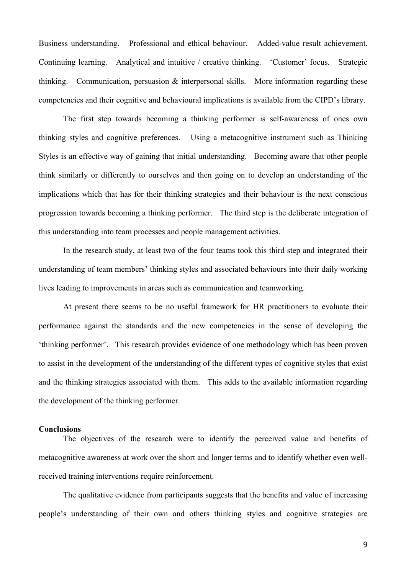Business understanding. Professional and ethical behaviour. Added-value result achievement. Continuing learning. Analytical and intuitive / creative thinking. 'Customer' focus. Strategic thinking. Communication, persuasion & interpersonal skills. More information regarding these competencies and their cognitive and behavioural implications is available from the CIPD's library.

The first step towards becoming a thinking performer is self-awareness of ones own thinking styles and cognitive preferences. Using a metacognitive instrument such as Thinking Styles is an effective way of gaining that initial understanding. Becoming aware that other people think similarly or differently to ourselves and then going on to develop an understanding of the implications which that has for their thinking strategies and their behaviour is the next conscious progression towards becoming a thinking performer. The third step is the deliberate integration of this understanding into team processes and people management activities.

In the research study, at least two of the four teams took this third step and integrated their understanding of team members' thinking styles and associated behaviours into their daily working lives leading to improvements in areas such as communication and teamworking.

At present there seems to be no useful framework for HR practitioners to evaluate their performance against the standards and the new competencies in the sense of developing the 'thinking performer'. This research provides evidence of one methodology which has been proven to assist in the development of the understanding of the different types of cognitive styles that exist and the thinking strategies associated with them. This adds to the available information regarding the development of the thinking performer.

#### **Conclusions**

The objectives of the research were to identify the perceived value and benefits of metacognitive awareness at work over the short and longer terms and to identify whether even wellreceived training interventions require reinforcement.

The qualitative evidence from participants suggests that the benefits and value of increasing people's understanding of their own and others thinking styles and cognitive strategies are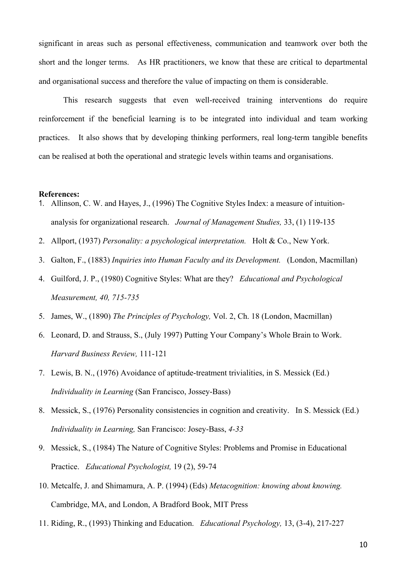significant in areas such as personal effectiveness, communication and teamwork over both the short and the longer terms. As HR practitioners, we know that these are critical to departmental and organisational success and therefore the value of impacting on them is considerable.

This research suggests that even well-received training interventions do require reinforcement if the beneficial learning is to be integrated into individual and team working practices. It also shows that by developing thinking performers, real long-term tangible benefits can be realised at both the operational and strategic levels within teams and organisations.

#### **References:**

- 1. Allinson, C. W. and Hayes, J., (1996) The Cognitive Styles Index: a measure of intuitionanalysis for organizational research. *Journal of Management Studies,* 33, (1) 119-135
- 2. Allport, (1937) *Personality: a psychological interpretation.* Holt & Co., New York.
- 3. Galton, F., (1883) *Inquiries into Human Faculty and its Development.* (London, Macmillan)
- 4. Guilford, J. P., (1980) Cognitive Styles: What are they? *Educational and Psychological Measurement, 40, 715-735*
- 5. James, W., (1890) *The Principles of Psychology,* Vol. 2, Ch. 18 (London, Macmillan)
- 6. Leonard, D. and Strauss, S., (July 1997) Putting Your Company's Whole Brain to Work. *Harvard Business Review,* 111-121
- 7. Lewis, B. N., (1976) Avoidance of aptitude-treatment trivialities, in S. Messick (Ed.) *Individuality in Learning* (San Francisco, Jossey-Bass)
- 8. Messick, S., (1976) Personality consistencies in cognition and creativity. In S. Messick (Ed.) *Individuality in Learning,* San Francisco: Josey-Bass, *4-33*
- 9. Messick, S., (1984) The Nature of Cognitive Styles: Problems and Promise in Educational Practice. *Educational Psychologist,* 19 (2), 59-74
- 10. Metcalfe, J. and Shimamura, A. P. (1994) (Eds) *Metacognition: knowing about knowing.*  Cambridge, MA, and London, A Bradford Book, MIT Press
- 11. Riding, R., (1993) Thinking and Education. *Educational Psychology,* 13, (3-4), 217-227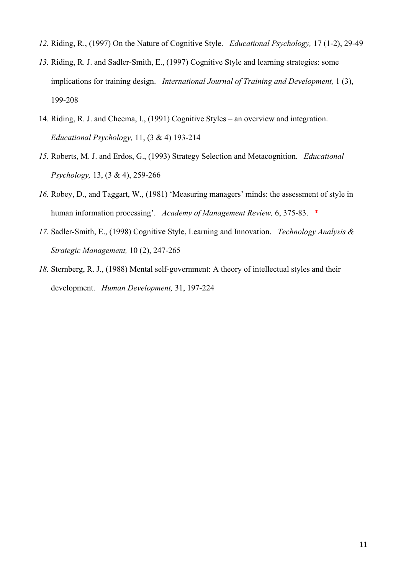- *12.* Riding, R., (1997) On the Nature of Cognitive Style. *Educational Psychology,* 17 (1-2), 29-49
- *13.* Riding, R. J. and Sadler-Smith, E., (1997) Cognitive Style and learning strategies: some implications for training design. *International Journal of Training and Development,* 1 (3), 199-208
- 14. Riding, R. J. and Cheema, I., (1991) Cognitive Styles an overview and integration. *Educational Psychology,* 11, (3 & 4) 193-214
- *15.* Roberts, M. J. and Erdos, G., (1993) Strategy Selection and Metacognition. *Educational Psychology,* 13, (3 & 4), 259-266
- *16.* Robey, D., and Taggart, W., (1981) 'Measuring managers' minds: the assessment of style in human information processing'. *Academy of Management Review,* 6, 375-83. \*
- *17.* Sadler-Smith, E., (1998) Cognitive Style, Learning and Innovation. *Technology Analysis & Strategic Management,* 10 (2), 247-265
- *18.* Sternberg, R. J., (1988) Mental self-government: A theory of intellectual styles and their development. *Human Development,* 31, 197-224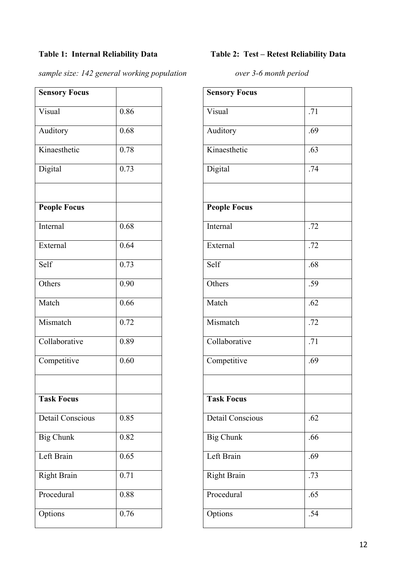*sample size: 142 general working population over 3-6 month period*

| <b>Sensory Focus</b>    |      | <b>Sensory Focus</b> |     |
|-------------------------|------|----------------------|-----|
| Visual                  | 0.86 | Visual               | .71 |
| Auditory                | 0.68 | Auditory             | .69 |
| Kinaesthetic            | 0.78 | Kinaesthetic         | .63 |
| Digital                 | 0.73 | Digital              | .74 |
| <b>People Focus</b>     |      | <b>People Focus</b>  |     |
| Internal                | 0.68 | Internal             | .72 |
| External                | 0.64 | External             | .72 |
| Self                    | 0.73 | Self                 | .68 |
| Others                  | 0.90 | Others               | .59 |
| Match                   | 0.66 | Match                | .62 |
| Mismatch                | 0.72 | Mismatch             | .72 |
| Collaborative           | 0.89 | Collaborative        | .71 |
| Competitive             | 0.60 | Competitive          | .69 |
| <b>Task Focus</b>       |      | <b>Task Focus</b>    |     |
| <b>Detail Conscious</b> | 0.85 | Detail Conscious     | .62 |
| <b>Big Chunk</b>        | 0.82 | <b>Big Chunk</b>     | .66 |
| Left Brain              | 0.65 | Left Brain           | .69 |
| <b>Right Brain</b>      | 0.71 | <b>Right Brain</b>   | .73 |
| Procedural              | 0.88 | Procedural           | .65 |
| Options                 | 0.76 | Options              | .54 |

# **Table 1: Internal Reliability Data Table 2: Test – Retest Reliability Data**

| <b>Sensory Focus</b>    |     |
|-------------------------|-----|
| Visual                  | .71 |
| Auditory                | .69 |
| Kinaesthetic            | .63 |
| Digital                 | .74 |
|                         |     |
| <b>People Focus</b>     |     |
| Internal                | .72 |
| External                | .72 |
| Self                    | .68 |
| Others                  | .59 |
| Match                   | .62 |
| Mismatch                | .72 |
| Collaborative           | .71 |
| Competitive             | .69 |
|                         |     |
| <b>Task Focus</b>       |     |
| <b>Detail Conscious</b> | .62 |
| <b>Big Chunk</b>        | .66 |
| Left Brain              | .69 |
| <b>Right Brain</b>      | .73 |
| Procedural              | .65 |
| Options                 | .54 |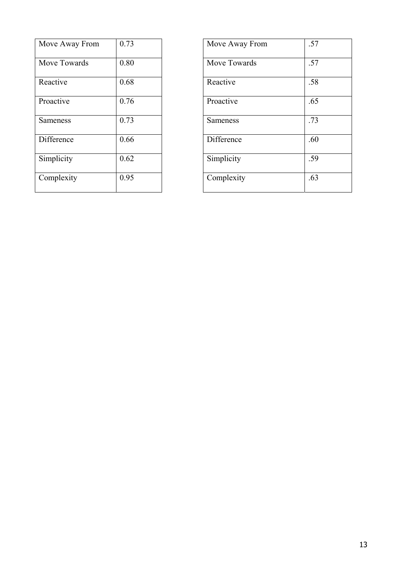| Move Away From | 0.73 | Move Away From  | .57 |
|----------------|------|-----------------|-----|
| Move Towards   | 0.80 | Move Towards    | .57 |
| Reactive       | 0.68 | Reactive        | .58 |
| Proactive      | 0.76 | Proactive       | .65 |
| Sameness       | 0.73 | <b>Sameness</b> | .73 |
| Difference     | 0.66 | Difference      | .60 |
| Simplicity     | 0.62 | Simplicity      | .59 |
| Complexity     | 0.95 | Complexity      | .63 |

| Move Away From  | .57 |
|-----------------|-----|
| Move Towards    | .57 |
| Reactive        | .58 |
| Proactive       | .65 |
| <b>Sameness</b> | .73 |
| Difference      | .60 |
| Simplicity      | .59 |
| Complexity      | .63 |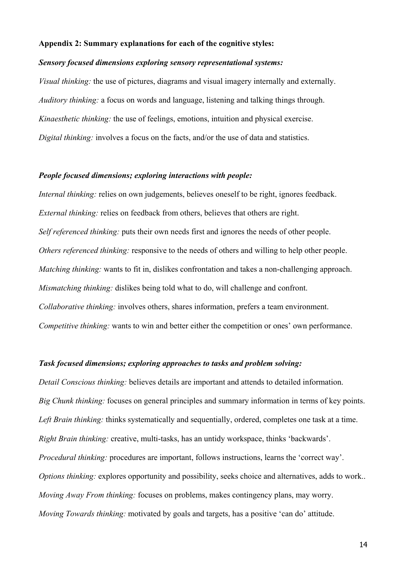#### **Appendix 2: Summary explanations for each of the cognitive styles:**

#### *Sensory focused dimensions exploring sensory representational systems:*

*Visual thinking:* the use of pictures, diagrams and visual imagery internally and externally. *Auditory thinking:* a focus on words and language, listening and talking things through. *Kinaesthetic thinking:* the use of feelings, emotions, intuition and physical exercise. *Digital thinking:* involves a focus on the facts, and/or the use of data and statistics.

### *People focused dimensions; exploring interactions with people:*

*Internal thinking:* relies on own judgements, believes oneself to be right, ignores feedback. *External thinking:* relies on feedback from others, believes that others are right. *Self referenced thinking:* puts their own needs first and ignores the needs of other people. *Others referenced thinking:* responsive to the needs of others and willing to help other people. *Matching thinking:* wants to fit in, dislikes confrontation and takes a non-challenging approach. *Mismatching thinking:* dislikes being told what to do, will challenge and confront. *Collaborative thinking:* involves others, shares information, prefers a team environment. *Competitive thinking:* wants to win and better either the competition or ones' own performance.

### *Task focused dimensions; exploring approaches to tasks and problem solving:*

*Detail Conscious thinking:* believes details are important and attends to detailed information. *Big Chunk thinking:* focuses on general principles and summary information in terms of key points. *Left Brain thinking:* thinks systematically and sequentially, ordered, completes one task at a time. *Right Brain thinking:* creative, multi-tasks, has an untidy workspace, thinks 'backwards'. *Procedural thinking:* procedures are important, follows instructions, learns the 'correct way'. *Options thinking:* explores opportunity and possibility, seeks choice and alternatives, adds to work.. *Moving Away From thinking:* focuses on problems, makes contingency plans, may worry. *Moving Towards thinking:* motivated by goals and targets, has a positive 'can do' attitude.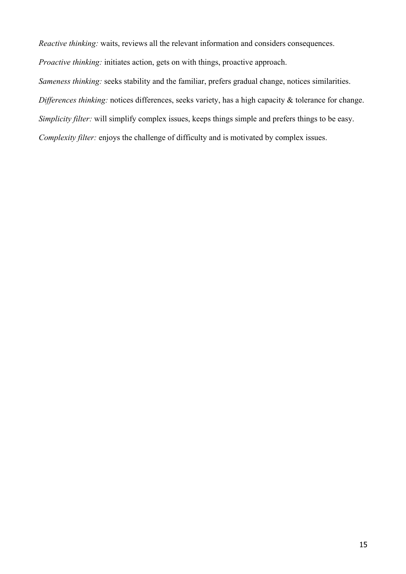*Reactive thinking:* waits, reviews all the relevant information and considers consequences.

*Proactive thinking:* initiates action, gets on with things, proactive approach.

*Sameness thinking:* seeks stability and the familiar, prefers gradual change, notices similarities.

*Differences thinking:* notices differences, seeks variety, has a high capacity & tolerance for change.

*Simplicity filter:* will simplify complex issues, keeps things simple and prefers things to be easy.

*Complexity filter:* enjoys the challenge of difficulty and is motivated by complex issues.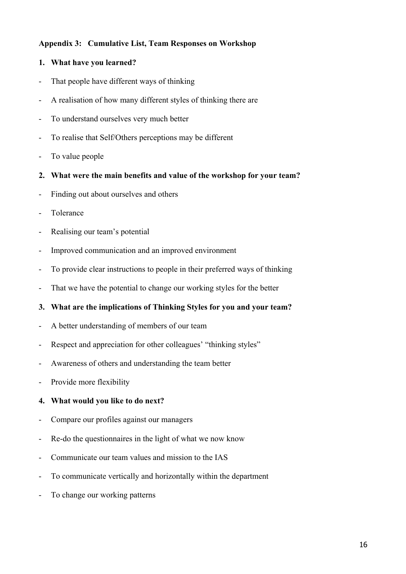## **Appendix 3: Cumulative List, Team Responses on Workshop**

# **1. What have you learned?**

- That people have different ways of thinking
- A realisation of how many different styles of thinking there are
- To understand ourselves very much better
- To realise that Self/Others perceptions may be different
- To value people
- **2. What were the main benefits and value of the workshop for your team?**
- Finding out about ourselves and others
- Tolerance
- Realising our team's potential
- Improved communication and an improved environment
- To provide clear instructions to people in their preferred ways of thinking
- That we have the potential to change our working styles for the better
- **3. What are the implications of Thinking Styles for you and your team?**
- A better understanding of members of our team
- Respect and appreciation for other colleagues' "thinking styles"
- Awareness of others and understanding the team better
- Provide more flexibility

## **4. What would you like to do next?**

- Compare our profiles against our managers
- Re-do the questionnaires in the light of what we now know
- Communicate our team values and mission to the IAS
- To communicate vertically and horizontally within the department
- To change our working patterns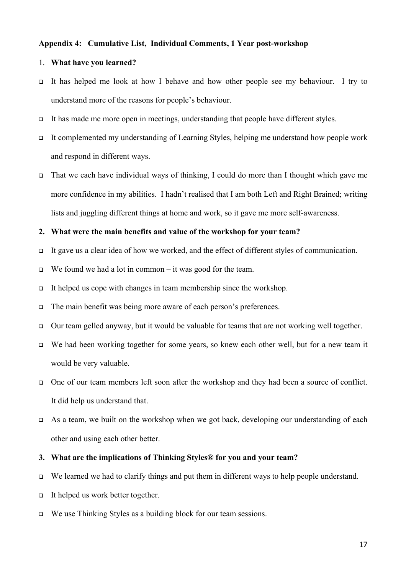#### **Appendix 4: Cumulative List, Individual Comments, 1 Year post-workshop**

#### 1. **What have you learned?**

- It has helped me look at how I behave and how other people see my behaviour. I try to understand more of the reasons for people's behaviour.
- It has made me more open in meetings, understanding that people have different styles.
- It complemented my understanding of Learning Styles, helping me understand how people work and respond in different ways.
- $\Box$  That we each have individual ways of thinking, I could do more than I thought which gave me more confidence in my abilities. I hadn't realised that I am both Left and Right Brained; writing lists and juggling different things at home and work, so it gave me more self-awareness.

### **2. What were the main benefits and value of the workshop for your team?**

- It gave us a clear idea of how we worked, and the effect of different styles of communication.
- $\Box$  We found we had a lot in common it was good for the team.
- It helped us cope with changes in team membership since the workshop.
- The main benefit was being more aware of each person's preferences.
- $\Box$  Our team gelled anyway, but it would be valuable for teams that are not working well together.
- $\Box$  We had been working together for some years, so knew each other well, but for a new team it would be very valuable.
- One of our team members left soon after the workshop and they had been a source of conflict. It did help us understand that.
- $\Box$  As a team, we built on the workshop when we got back, developing our understanding of each other and using each other better.

#### **3. What are the implications of Thinking Styles® for you and your team?**

- $\Box$  We learned we had to clarify things and put them in different ways to help people understand.
- $\Box$  It helped us work better together.
- We use Thinking Styles as a building block for our team sessions.